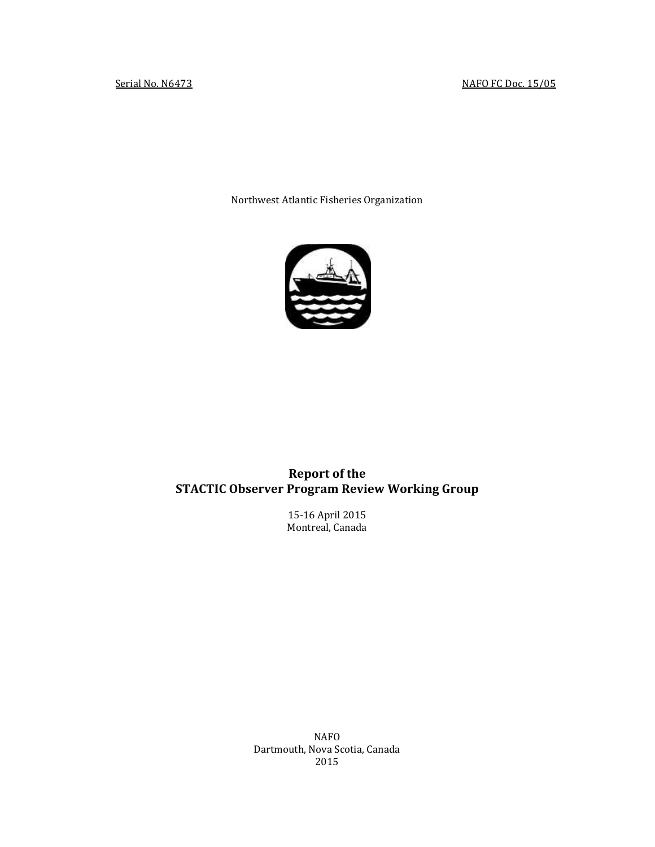Northwest Atlantic Fisheries Organization



# **Report of the STACTIC Observer Program Review Working Group**

15-16 April 2015 Montreal, Canada

NAFO Dartmouth, Nova Scotia, Canada 2015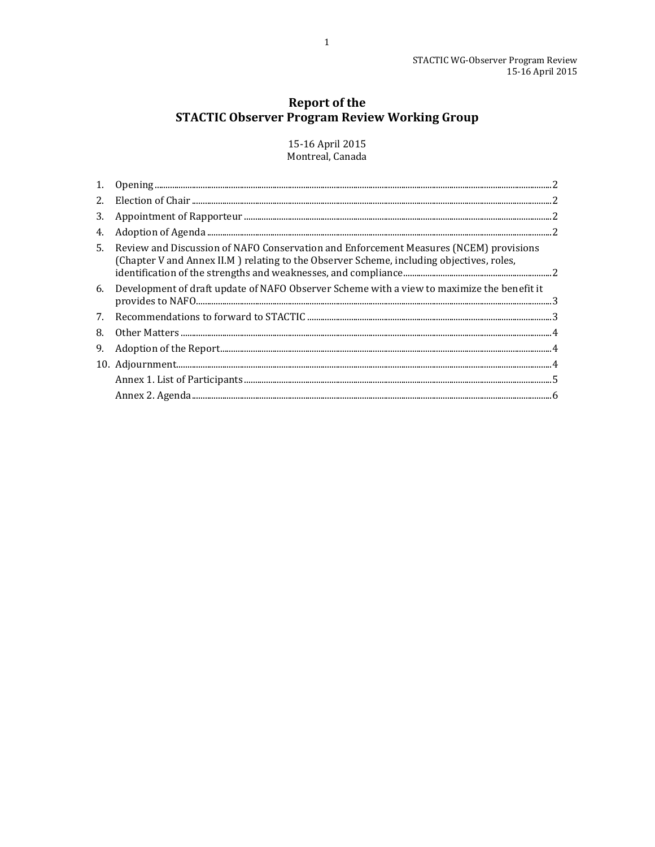# **Report of the STACTIC Observer Program Review Working Group**

15-16 April 2015 Montreal, Canada

| 3. |                                                                                                                                                                                                                                                                                                                                                                                                                      |  |
|----|----------------------------------------------------------------------------------------------------------------------------------------------------------------------------------------------------------------------------------------------------------------------------------------------------------------------------------------------------------------------------------------------------------------------|--|
| 4. |                                                                                                                                                                                                                                                                                                                                                                                                                      |  |
| 5. | Review and Discussion of NAFO Conservation and Enforcement Measures (NCEM) provisions<br>(Chapter V and Annex II.M) relating to the Observer Scheme, including objectives, roles,                                                                                                                                                                                                                                    |  |
| 6. | Development of draft update of NAFO Observer Scheme with a view to maximize the benefit it                                                                                                                                                                                                                                                                                                                           |  |
| 7. |                                                                                                                                                                                                                                                                                                                                                                                                                      |  |
| 8. |                                                                                                                                                                                                                                                                                                                                                                                                                      |  |
| 9. | $\begin{minipage}[c]{0.9\linewidth} Adoption of the Report. \end{minipage} \vspace{0.05in} \begin{minipage}[c]{0.9\linewidth} \vspace{0.05in} \begin{minipage}[c]{0.9\linewidth} \vspace{0.05in} \vspace{0.05in} \vspace{0.05in} \vspace{0.05in} \vspace{0.05in} \vspace{0.05in} \vspace{0.05in} \vspace{0.05in} \vspace{0.05in} \vspace{0.05in} \vspace{0.05in} \vspace{0.05in} \vspace{0.05in} \vspace{0.05in} \v$ |  |
|    |                                                                                                                                                                                                                                                                                                                                                                                                                      |  |
|    |                                                                                                                                                                                                                                                                                                                                                                                                                      |  |
|    |                                                                                                                                                                                                                                                                                                                                                                                                                      |  |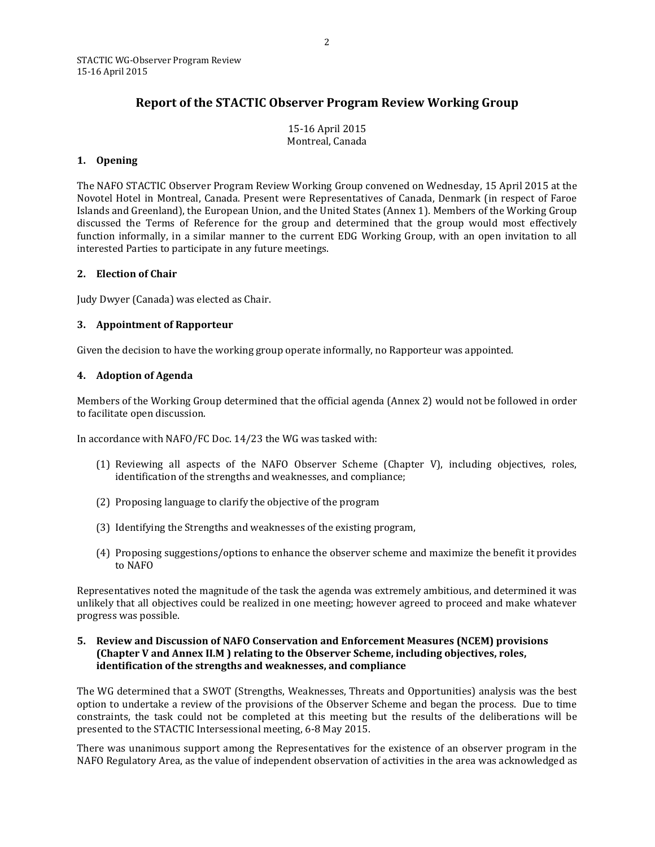### **Report of the STACTIC Observer Program Review Working Group**

15-16 April 2015 Montreal, Canada

#### <span id="page-2-0"></span>**1. Opening**

The NAFO STACTIC Observer Program Review Working Group convened on Wednesday, 15 April 2015 at the Novotel Hotel in Montreal, Canada. Present were Representatives of Canada, Denmark (in respect of Faroe Islands and Greenland), the European Union, and the United States (Annex 1). Members of the Working Group discussed the Terms of Reference for the group and determined that the group would most effectively function informally, in a similar manner to the current EDG Working Group, with an open invitation to all interested Parties to participate in any future meetings.

#### <span id="page-2-1"></span>**2. Election of Chair**

Judy Dwyer (Canada) was elected as Chair.

#### <span id="page-2-2"></span>**3. Appointment of Rapporteur**

Given the decision to have the working group operate informally, no Rapporteur was appointed.

#### <span id="page-2-3"></span>**4. Adoption of Agenda**

Members of the Working Group determined that the official agenda (Annex 2) would not be followed in order to facilitate open discussion.

In accordance with NAFO/FC Doc. 14/23 the WG was tasked with:

- (1) Reviewing all aspects of the NAFO Observer Scheme (Chapter V), including objectives, roles, identification of the strengths and weaknesses, and compliance;
- (2) Proposing language to clarify the objective of the program
- (3) Identifying the Strengths and weaknesses of the existing program,
- (4) Proposing suggestions/options to enhance the observer scheme and maximize the benefit it provides to NAFO

Representatives noted the magnitude of the task the agenda was extremely ambitious, and determined it was unlikely that all objectives could be realized in one meeting; however agreed to proceed and make whatever progress was possible.

#### <span id="page-2-4"></span>**5. Review and Discussion of NAFO Conservation and Enforcement Measures (NCEM) provisions (Chapter V and Annex II.M ) relating to the Observer Scheme, including objectives, roles, identification of the strengths and weaknesses, and compliance**

The WG determined that a SWOT (Strengths, Weaknesses, Threats and Opportunities) analysis was the best option to undertake a review of the provisions of the Observer Scheme and began the process. Due to time constraints, the task could not be completed at this meeting but the results of the deliberations will be presented to the STACTIC Intersessional meeting, 6-8 May 2015.

There was unanimous support among the Representatives for the existence of an observer program in the NAFO Regulatory Area, as the value of independent observation of activities in the area was acknowledged as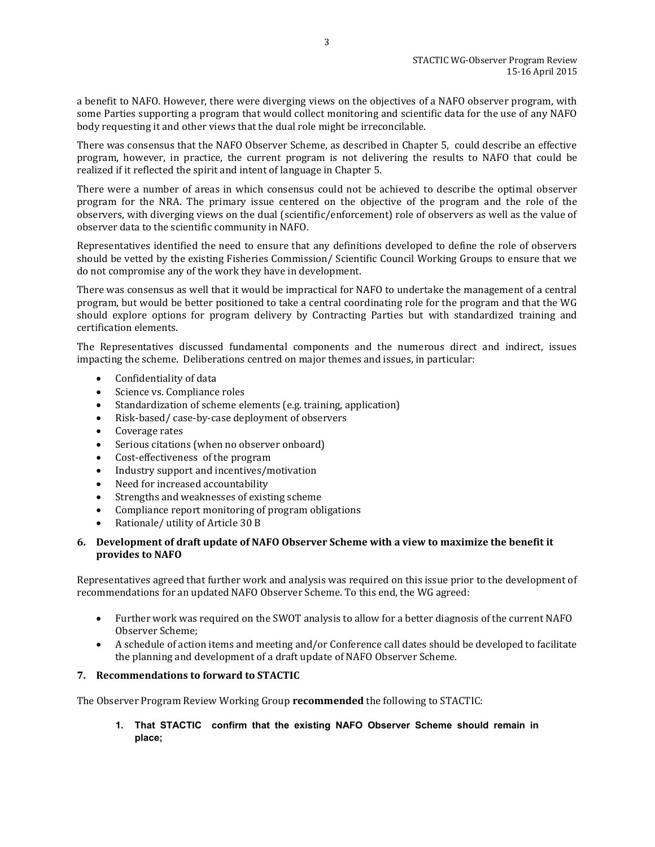a benefit to NAFO. However, there were diverging views on the objectives of a NAFO observer program, with some Parties supporting a program that would collect monitoring and scientific data for the use of any NAFO body requesting it and other views that the dual role might be irreconcilable.

There was consensus that the NAFO Observer Scheme, as described in Chapter 5, could describe an effective program, however, in practice, the current program is not delivering the results to NAFO that could be realized if it reflected the spirit and intent of language in Chapter 5.

There were a number of areas in which consensus could not be achieved to describe the optimal observer program for the NRA. The primary issue centered on the objective of the program and the role of the observers, with diverging views on the dual (scientific/enforcement) role of observers as well as the value of observer data to the scientific community in NAFO.

Representatives identified the need to ensure that any definitions developed to define the role of observers should be vetted by the existing Fisheries Commission/ Scientific Council Working Groups to ensure that we do not compromise any of the work they have in development.

There was consensus as well that it would be impractical for NAFO to undertake the management of a central program, but would be better positioned to take a central coordinating role for the program and that the WG should explore options for program delivery by Contracting Parties but with standardized training and certification elements.

The Representatives discussed fundamental components and the numerous direct and indirect, issues impacting the scheme. Deliberations centred on major themes and issues, in particular:

- Confidentiality of data
- Science vs. Compliance roles
- Standardization of scheme elements (e.g. training, application)
- Risk-based/ case-by-case deployment of observers
- Coverage rates
- Serious citations (when no observer onboard)
- Cost-effectiveness of the program
- Industry support and incentives/motivation
- Need for increased accountability
- Strengths and weaknesses of existing scheme
- Compliance report monitoring of program obligations
- Rationale/ utility of Article 30 B

#### <span id="page-3-0"></span>**6. Development of draft update of NAFO Observer Scheme with a view to maximize the benefit it provides to NAFO**

Representatives agreed that further work and analysis was required on this issue prior to the development of recommendations for an updated NAFO Observer Scheme. To this end, the WG agreed:

- Further work was required on the SWOT analysis to allow for a better diagnosis of the current NAFO Observer Scheme;
- A schedule of action items and meeting and/or Conference call dates should be developed to facilitate the planning and development of a draft update of NAFO Observer Scheme.

#### <span id="page-3-1"></span>**7. Recommendations to forward to STACTIC**

The Observer Program Review Working Group **recommended** the following to STACTIC:

**1. That STACTIC confirm that the existing NAFO Observer Scheme should remain in place;**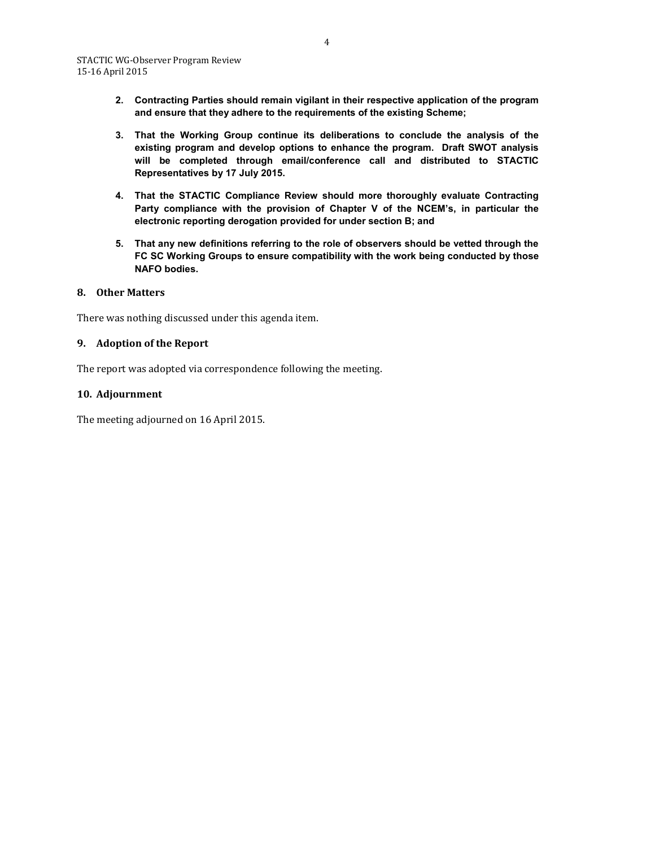- **2. Contracting Parties should remain vigilant in their respective application of the program and ensure that they adhere to the requirements of the existing Scheme;**
- **3. That the Working Group continue its deliberations to conclude the analysis of the existing program and develop options to enhance the program. Draft SWOT analysis will be completed through email/conference call and distributed to STACTIC Representatives by 17 July 2015.**
- **4. That the STACTIC Compliance Review should more thoroughly evaluate Contracting Party compliance with the provision of Chapter V of the NCEM's, in particular the electronic reporting derogation provided for under section B; and**
- **5. That any new definitions referring to the role of observers should be vetted through the FC SC Working Groups to ensure compatibility with the work being conducted by those NAFO bodies.**

#### <span id="page-4-0"></span>**8. Other Matters**

There was nothing discussed under this agenda item.

#### <span id="page-4-1"></span>**9. Adoption of the Report**

The report was adopted via correspondence following the meeting.

#### <span id="page-4-2"></span>**10. Adjournment**

The meeting adjourned on 16 April 2015.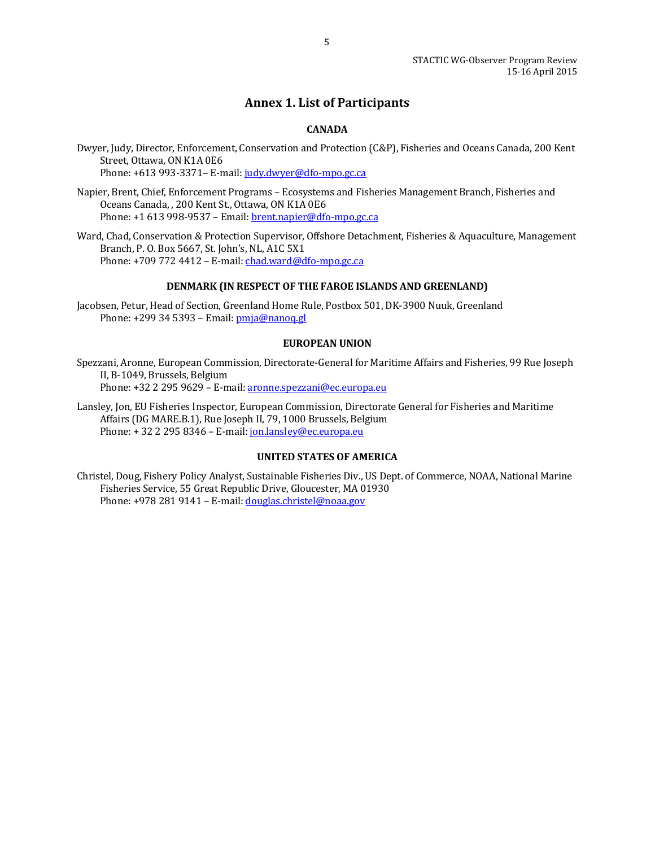### **Annex 1. List of Participants**

#### **CANADA**

<span id="page-5-0"></span>Dwyer, Judy, Director, Enforcement, Conservation and Protection (C&P), Fisheries and Oceans Canada, 200 Kent Street, Ottawa, ON K1A 0E6 Phone: +613 993-3371– E-mail[: judy.dwyer@dfo-mpo.gc.ca](mailto:judy.dwyer@dfo-mpo.gc.ca)

Napier, Brent, Chief, Enforcement Programs – Ecosystems and Fisheries Management Branch, Fisheries and Oceans Canada, , 200 Kent St., Ottawa, ON K1A 0E6 Phone: +1 613 998-9537 – Email[: brent.napier@dfo-mpo.gc.ca](mailto:brent.napier@dfo-mpo.gc.ca)

Ward, Chad, Conservation & Protection Supervisor, Offshore Detachment, Fisheries & Aquaculture, Management Branch, P. O. Box 5667, St. John's, NL, A1C 5X1 Phone: +709 772 4412 – E-mail[: chad.ward@dfo-mpo.gc.ca](mailto:chad.ward@dfo-mpo.gc.ca)

#### **DENMARK (IN RESPECT OF THE FAROE ISLANDS AND GREENLAND)**

Jacobsen, Petur, Head of Section, Greenland Home Rule, Postbox 501, DK-3900 Nuuk, Greenland Phone: +299 34 5393 - Email: [pmja@nanoq.gl](mailto:pmja@nanoq.gl)

#### **EUROPEAN UNION**

Spezzani, Aronne, European Commission, Directorate-General for Maritime Affairs and Fisheries, 99 Rue Joseph II, B-1049, Brussels, Belgium Phone: +32 2 295 9629 – E-mail[: aronne.spezzani@ec.europa.eu](mailto:aronne.spezzani@ec.europa.eu)

Lansley, Jon, EU Fisheries Inspector, European Commission, Directorate General for Fisheries and Maritime Affairs (DG MARE.B.1), Rue Joseph II, 79, 1000 Brussels, Belgium Phone: + 32 2 295 8346 – E-mail: [jon.lansley@ec.europa.eu](mailto:jon.lansley@ec.europa.eu)

#### **UNITED STATES OF AMERICA**

Christel, Doug, Fishery Policy Analyst, Sustainable Fisheries Div., US Dept. of Commerce, NOAA, National Marine Fisheries Service, 55 Great Republic Drive, Gloucester, MA 01930 Phone: +978 281 9141 – E-mail[: douglas.christel@noaa.gov](mailto:douglas.christel@noaa.gov)